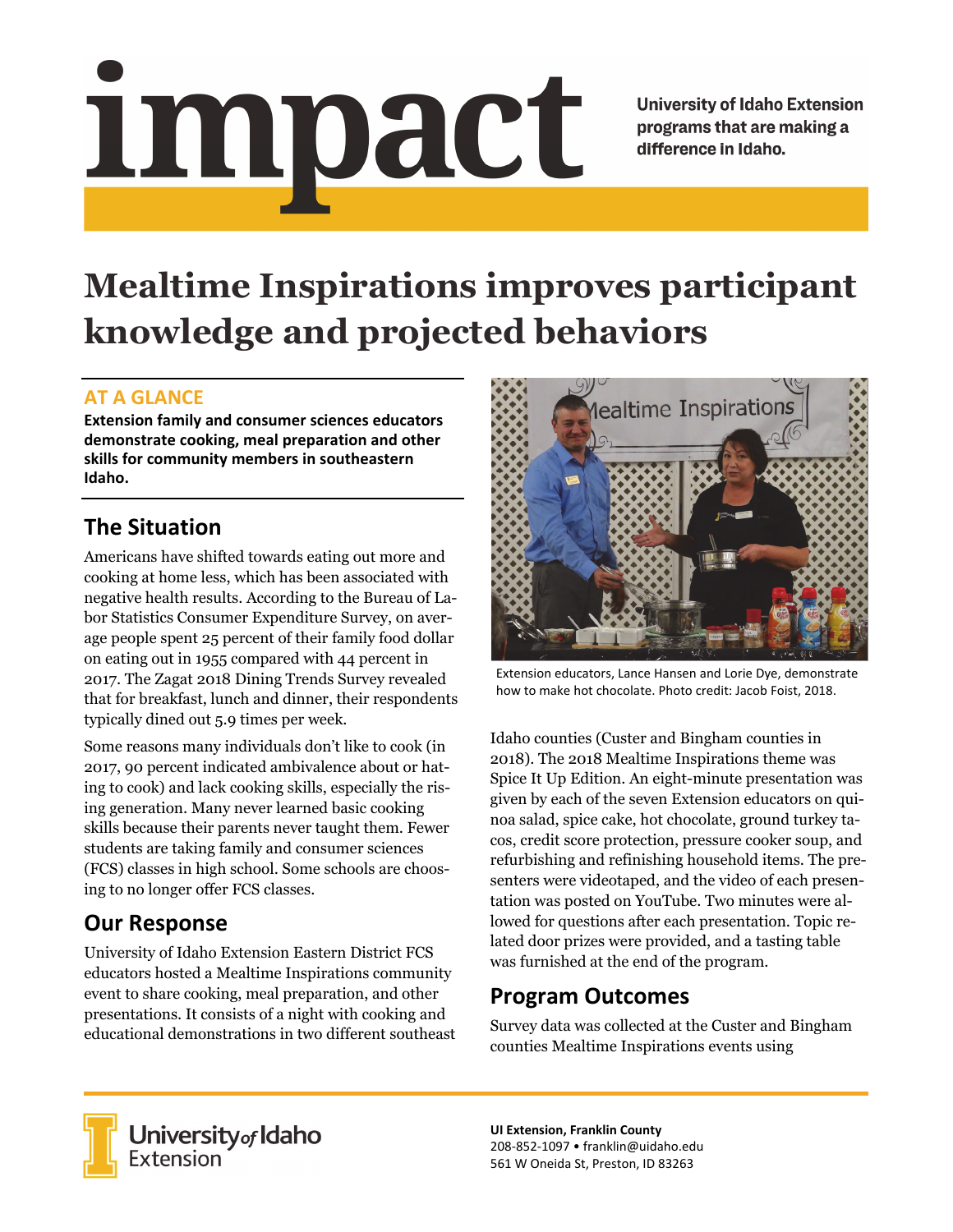# <u>impact</u>

**University of Idaho Extension** programs that are making a difference in Idaho.

# **Mealtime Inspirations improves participant knowledge and projected behaviors**

#### **AT A GLANCE**

**Extension family and consumer sciences educators demonstrate cooking, meal preparation and other skills for community members in southeastern Idaho.**

# **The Situation**

Americans have shifted towards eating out more and cooking at home less, which has been associated with negative health results. According to the Bureau of Labor Statistics Consumer Expenditure Survey, on average people spent 25 percent of their family food dollar on eating out in 1955 compared with 44 percent in 2017. The Zagat 2018 Dining Trends Survey revealed that for breakfast, lunch and dinner, their respondents typically dined out 5.9 times per week.

Some reasons many individuals don't like to cook (in 2017, 90 percent indicated ambivalence about or hating to cook) and lack cooking skills, especially the rising generation. Many never learned basic cooking skills because their parents never taught them. Fewer students are taking family and consumer sciences (FCS) classes in high school. Some schools are choosing to no longer offer FCS classes.

# **Our Response**

University of Idaho Extension Eastern District FCS educators hosted a Mealtime Inspirations community event to share cooking, meal preparation, and other presentations. It consists of a night with cooking and educational demonstrations in two different southeast



Extension educators, Lance Hansen and Lorie Dye, demonstrate how to make hot chocolate. Photo credit: Jacob Foist, 2018.

Idaho counties (Custer and Bingham counties in 2018). The 2018 Mealtime Inspirations theme was Spice It Up Edition. An eight-minute presentation was given by each of the seven Extension educators on quinoa salad, spice cake, hot chocolate, ground turkey tacos, credit score protection, pressure cooker soup, and refurbishing and refinishing household items. The presenters were videotaped, and the video of each presentation was posted on YouTube. Two minutes were allowed for questions after each presentation. Topic related door prizes were provided, and a tasting table was furnished at the end of the program.

## **Program Outcomes**

Survey data was collected at the Custer and Bingham counties Mealtime Inspirations events using



University of Idaho<br>Extension

**UI Extension, Franklin County** 208‐852‐1097 • franklin@uidaho.edu 561 W Oneida St, Preston, ID 83263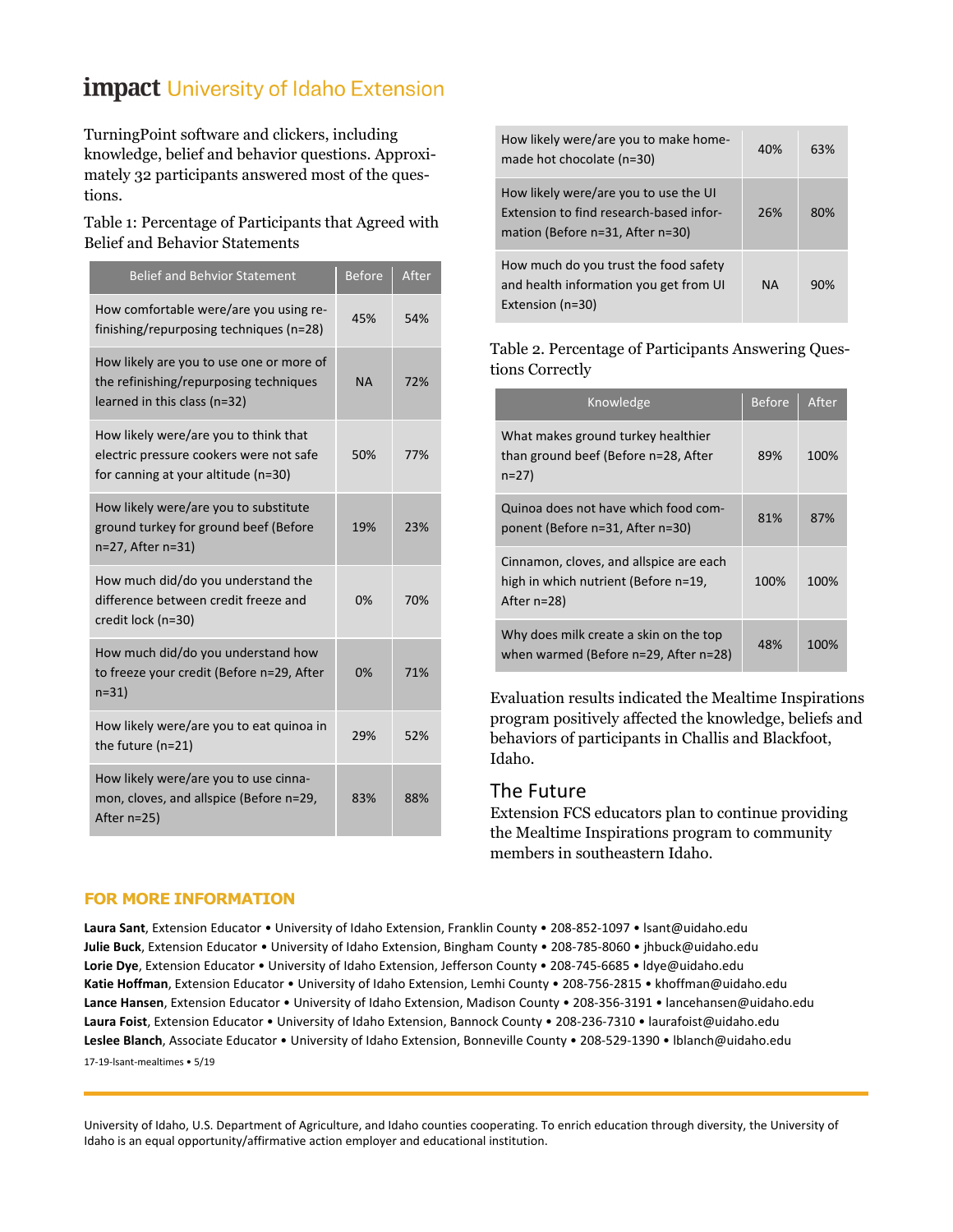## **impact University of Idaho Extension**

TurningPoint software and clickers, including knowledge, belief and behavior questions. Approximately 32 participants answered most of the questions.

#### Table 1: Percentage of Participants that Agreed with Belief and Behavior Statements

| <b>Belief and Behvior Statement</b>                                                                                     | <b>Before</b> | After |
|-------------------------------------------------------------------------------------------------------------------------|---------------|-------|
| How comfortable were/are you using re-<br>finishing/repurposing techniques (n=28)                                       | 45%           | 54%   |
| How likely are you to use one or more of<br>the refinishing/repurposing techniques<br>learned in this class (n=32)      | ΝA            | 72%   |
| How likely were/are you to think that<br>electric pressure cookers were not safe<br>for canning at your altitude (n=30) | 50%           | 77%   |
| How likely were/are you to substitute<br>ground turkey for ground beef (Before<br>n=27, After n=31)                     | 19%           | 23%   |
| How much did/do you understand the<br>difference between credit freeze and<br>credit lock (n=30)                        | 0%            | 70%   |
| How much did/do you understand how<br>to freeze your credit (Before n=29, After<br>$n=31$                               | 0%            | 71%   |
| How likely were/are you to eat quinoa in<br>the future (n=21)                                                           | 29%           | 52%   |
| How likely were/are you to use cinna-<br>mon, cloves, and allspice (Before n=29,<br>After n=25)                         | 83%           | 88%   |

| How likely were/are you to make home-<br>made hot chocolate (n=30)                                                   | 40%       | 63% |
|----------------------------------------------------------------------------------------------------------------------|-----------|-----|
| How likely were/are you to use the UI<br>Extension to find research-based infor-<br>mation (Before n=31, After n=30) | 26%       | 80% |
| How much do you trust the food safety<br>and health information you get from UI<br>Extension (n=30)                  | <b>NA</b> | 90% |

#### Table 2. Percentage of Participants Answering Questions Correctly

| Knowledge                                                                                         | <b>Before</b> | After |
|---------------------------------------------------------------------------------------------------|---------------|-------|
| What makes ground turkey healthier<br>than ground beef (Before n=28, After<br>$n=27$              | 89%           | 100%  |
| Quinoa does not have which food com-<br>ponent (Before n=31, After n=30)                          | 81%           | 87%   |
| Cinnamon, cloves, and allspice are each<br>high in which nutrient (Before n=19,<br>After $n=28$ ) | 100%          | 100%  |
| Why does milk create a skin on the top<br>when warmed (Before n=29, After n=28)                   | 48%           | 100%  |

Evaluation results indicated the Mealtime Inspirations program positively affected the knowledge, beliefs and behaviors of participants in Challis and Blackfoot, Idaho.

#### The Future

Extension FCS educators plan to continue providing the Mealtime Inspirations program to community members in southeastern Idaho.

#### **FOR MORE INFORMATION**

**Laura Sant**, Extension Educator • University of Idaho Extension, Franklin County • 208‐852‐1097 • lsant@uidaho.edu **Julie Buck**, Extension Educator • University of Idaho Extension, Bingham County • 208‐785‐8060 • jhbuck@uidaho.edu **Lorie Dye**, Extension Educator • University of Idaho Extension, Jefferson County • 208‐745‐6685 • ldye@uidaho.edu **Katie Hoffman**, Extension Educator • University of Idaho Extension, Lemhi County • 208‐756‐2815 • khoffman@uidaho.edu **Lance Hansen**, Extension Educator • University of Idaho Extension, Madison County • 208‐356‐3191 • lancehansen@uidaho.edu **Laura Foist**, Extension Educator • University of Idaho Extension, Bannock County • 208‐236‐7310 • laurafoist@uidaho.edu **Leslee Blanch**, Associate Educator • University of Idaho Extension, Bonneville County • 208‐529‐1390 • lblanch@uidaho.edu 17‐19‐lsant‐mealtimes • 5/19

University of Idaho, U.S. Department of Agriculture, and Idaho counties cooperating. To enrich education through diversity, the University of Idaho is an equal opportunity/affirmative action employer and educational institution.